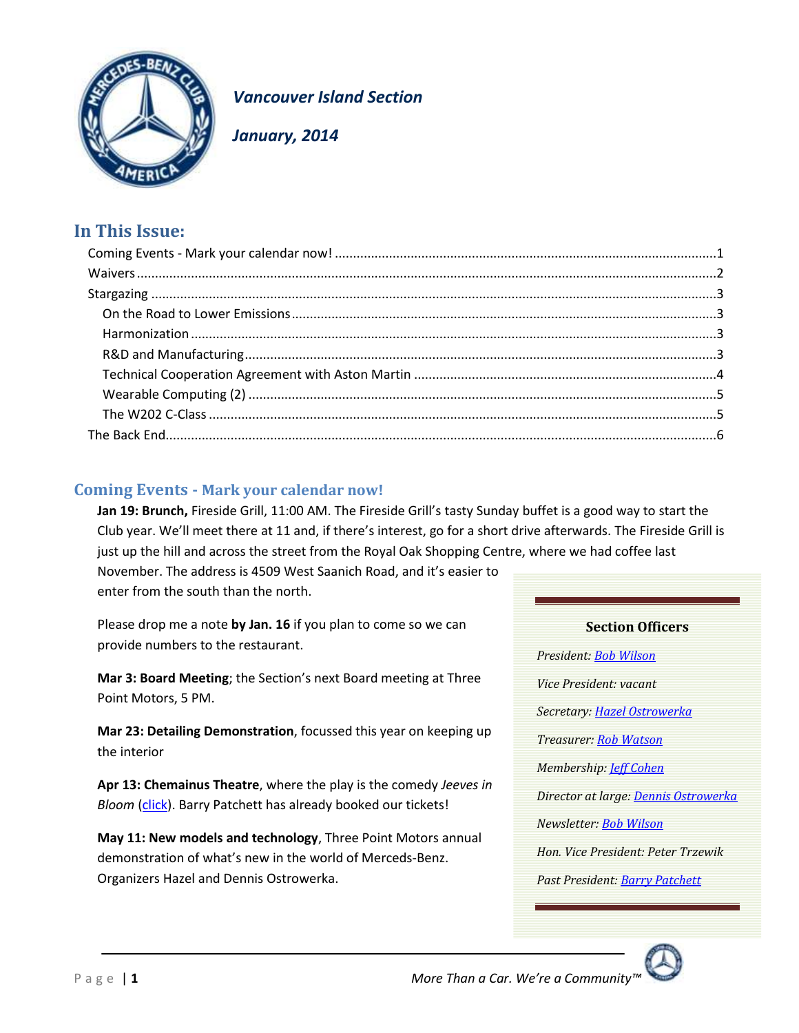

**Vancouver Island Section** 

January, 2014

# In This Issue:

# <span id="page-0-0"></span>**Coming Events - Mark your calendar now!**

Jan 19: Brunch, Fireside Grill, 11:00 AM. The Fireside Grill's tasty Sunday buffet is a good way to start the Club year. We'll meet there at 11 and, if there's interest, go for a short drive afterwards. The Fireside Grill is just up the hill and across the street from the Royal Oak Shopping Centre, where we had coffee last

November. The address is 4509 West Saanich Road, and it's easier to enter from the south than the north.

Please drop me a note by Jan. 16 if you plan to come so we can provide numbers to the restaurant.

Mar 3: Board Meeting; the Section's next Board meeting at Three Point Motors, 5 PM.

Mar 23: Detailing Demonstration, focussed this year on keeping up the interior

Apr 13: Chemainus Theatre, where the play is the comedy Jeeves in Bloom (click). Barry Patchett has already booked our tickets!

May 11: New models and technology, Three Point Motors annual demonstration of what's new in the world of Merceds-Benz. Organizers Hazel and Dennis Ostrowerka.

**Section Officers** President: Bob Wilson Vice President: vacant Secretary: Hazel Ostrowerka Treasurer: Rob Watson Membership: *leff Cohen* Director at large: Dennis Ostrowerka Newsletter: Bob Wilson Hon. Vice President: Peter Trzewik Past President: Barry Patchett

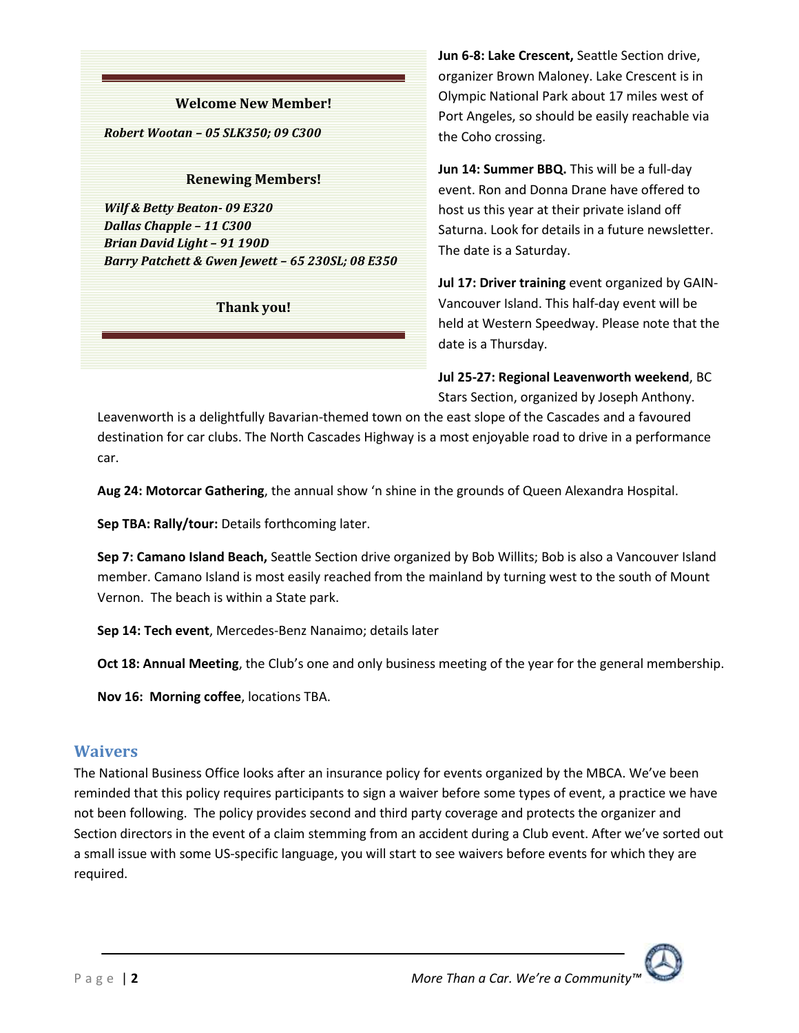#### **Welcome New Member!**

*Robert Wootan – 05 SLK350; 09 C300*

#### **Renewing Members!**

*Wilf & Betty Beaton- 09 E320 Dallas Chapple – 11 C300 Brian David Light – 91 190D Barry Patchett & Gwen Jewett – 65 230SL; 08 E350*

#### **Thank you!**

**Jun 6-8: Lake Crescent,** Seattle Section drive, organizer Brown Maloney. Lake Crescent is in Olympic National Park about 17 miles west of Port Angeles, so should be easily reachable via the Coho crossing.

**Jun 14: Summer BBQ.** This will be a full-day event. Ron and Donna Drane have offered to host us this year at their private island off Saturna. Look for details in a future newsletter. The date is a Saturday.

**Jul 17: Driver training** event organized by GAIN-Vancouver Island. This half-day event will be held at Western Speedway. Please note that the date is a Thursday.

**Jul 25-27: Regional Leavenworth weekend**, BC Stars Section, organized by Joseph Anthony.

Leavenworth is a delightfully Bavarian-themed town on the east slope of the Cascades and a favoured destination for car clubs. The North Cascades Highway is a most enjoyable road to drive in a performance car.

**Aug 24: Motorcar Gathering**, the annual show 'n shine in the grounds of Queen Alexandra Hospital.

**Sep TBA: Rally/tour:** Details forthcoming later.

**Sep 7: Camano Island Beach,** Seattle Section drive organized by Bob Willits; Bob is also a Vancouver Island member. Camano Island is most easily reached from the mainland by turning west to the south of Mount Vernon. The beach is within a State park.

**Sep 14: Tech event**, Mercedes-Benz Nanaimo; details later

**Oct 18: Annual Meeting**, the Club's one and only business meeting of the year for the general membership.

**Nov 16: Morning coffee**, locations TBA.

### <span id="page-1-0"></span>**Waivers**

The National Business Office looks after an insurance policy for events organized by the MBCA. We've been reminded that this policy requires participants to sign a waiver before some types of event, a practice we have not been following. The policy provides second and third party coverage and protects the organizer and Section directors in the event of a claim stemming from an accident during a Club event. After we've sorted out a small issue with some US-specific language, you will start to see waivers before events for which they are required.

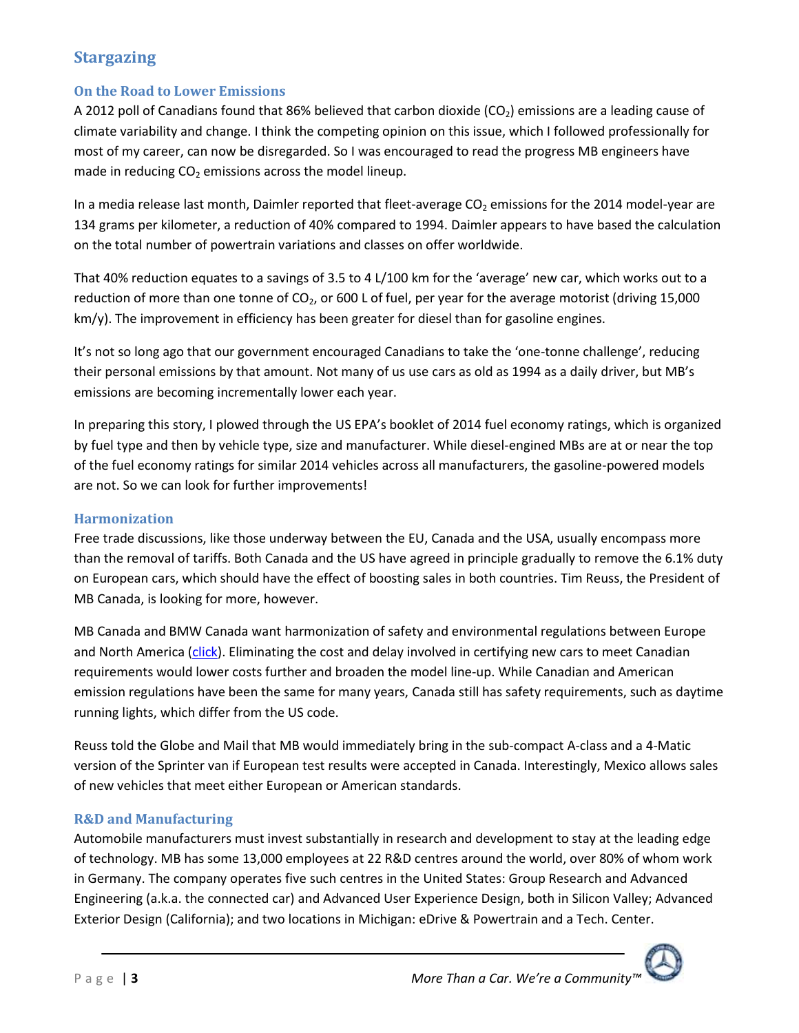# <span id="page-2-0"></span>**Stargazing**

### <span id="page-2-1"></span>**On the Road to Lower Emissions**

A 2012 poll of Canadians found that 86% believed that carbon dioxide (CO<sub>2</sub>) emissions are a leading cause of climate variability and change. I think the competing opinion on this issue, which I followed professionally for most of my career, can now be disregarded. So I was encouraged to read the progress MB engineers have made in reducing  $CO<sub>2</sub>$  emissions across the model lineup.

In a media release last month, Daimler reported that fleet-average  $CO<sub>2</sub>$  emissions for the 2014 model-year are 134 grams per kilometer, a reduction of 40% compared to 1994. Daimler appears to have based the calculation on the total number of powertrain variations and classes on offer worldwide.

That 40% reduction equates to a savings of 3.5 to 4 L/100 km for the 'average' new car, which works out to a reduction of more than one tonne of  $CO<sub>2</sub>$ , or 600 L of fuel, per year for the average motorist (driving 15,000 km/y). The improvement in efficiency has been greater for diesel than for gasoline engines.

It's not so long ago that our government encouraged Canadians to take the 'one-tonne challenge', reducing their personal emissions by that amount. Not many of us use cars as old as 1994 as a daily driver, but MB's emissions are becoming incrementally lower each year.

In preparing this story, I plowed through the US EPA's booklet of 2014 fuel economy ratings, which is organized by fuel type and then by vehicle type, size and manufacturer. While diesel-engined MBs are at or near the top of the fuel economy ratings for similar 2014 vehicles across all manufacturers, the gasoline-powered models are not. So we can look for further improvements!

### <span id="page-2-2"></span>**Harmonization**

Free trade discussions, like those underway between the EU, Canada and the USA, usually encompass more than the removal of tariffs. Both Canada and the US have agreed in principle gradually to remove the 6.1% duty on European cars, which should have the effect of boosting sales in both countries. Tim Reuss, the President of MB Canada, is looking for more, however.

MB Canada and BMW Canada want harmonization of safety and environmental regulations between Europe and North America [\(click\)](http://www.theglobeandmail.com/report-on-business/mercedes-benz-urges-canada-to-use-european-standards/article16088355/?utm_medium=Newsletter&utm_source=Morning%20Business%20Briefing&utm_type=text&utm_content=MorningBusinessBriefing&utm_campaign=112137945). Eliminating the cost and delay involved in certifying new cars to meet Canadian requirements would lower costs further and broaden the model line-up. While Canadian and American emission regulations have been the same for many years, Canada still has safety requirements, such as daytime running lights, which differ from the US code.

Reuss told the Globe and Mail that MB would immediately bring in the sub-compact A-class and a 4-Matic version of the Sprinter van if European test results were accepted in Canada. Interestingly, Mexico allows sales of new vehicles that meet either European or American standards.

### <span id="page-2-3"></span>**R&D and Manufacturing**

Automobile manufacturers must invest substantially in research and development to stay at the leading edge of technology. MB has some 13,000 employees at 22 R&D centres around the world, over 80% of whom work in Germany. The company operates five such centres in the United States: Group Research and Advanced Engineering (a.k.a. the connected car) and Advanced User Experience Design, both in Silicon Valley; Advanced Exterior Design (California); and two locations in Michigan: eDrive & Powertrain and a Tech. Center.

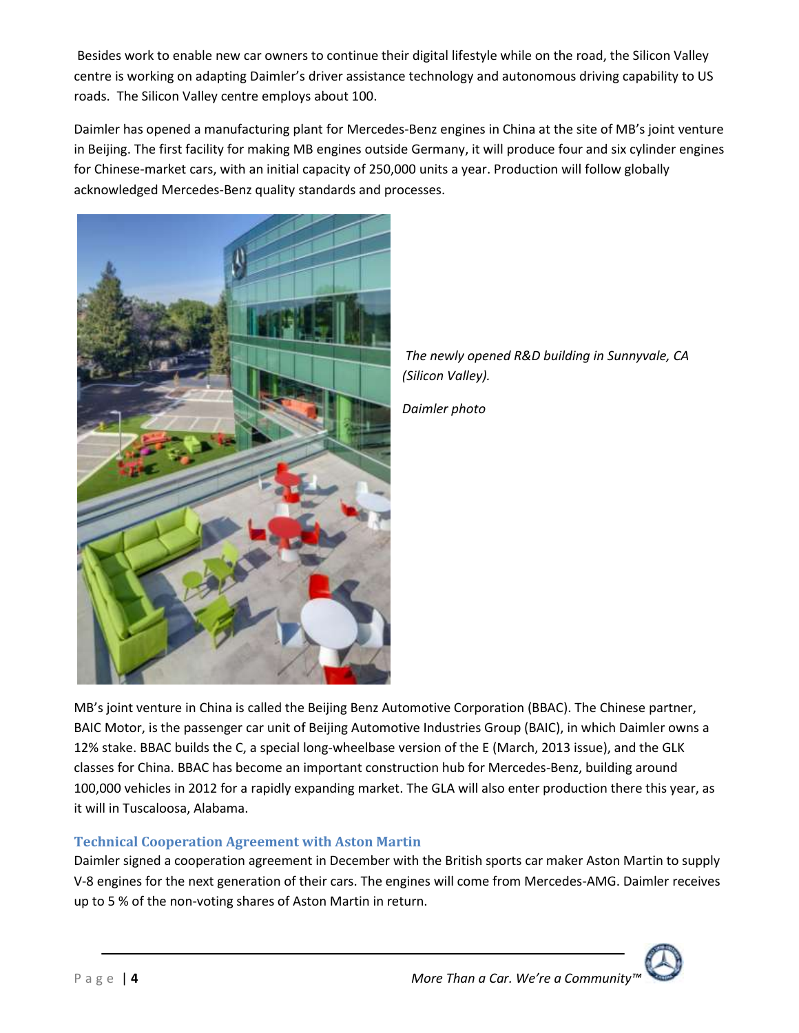Besides work to enable new car owners to continue their digital lifestyle while on the road, the Silicon Valley centre is working on adapting Daimler's driver assistance technology and autonomous driving capability to US roads. The Silicon Valley centre employs about 100.

Daimler has opened a manufacturing plant for Mercedes-Benz engines in China at the site of MB's joint venture in Beijing. The first facility for making MB engines outside Germany, it will produce four and six cylinder engines for Chinese-market cars, with an initial capacity of 250,000 units a year. Production will follow globally acknowledged Mercedes-Benz quality standards and processes.





*Daimler photo*

MB's joint venture in China is called the Beijing Benz Automotive Corporation (BBAC). The Chinese partner, BAIC Motor, is the passenger car unit of Beijing Automotive Industries Group (BAIC), in which Daimler owns a 12% stake. BBAC builds the C, a special long-wheelbase version of the E (March, 2013 issue), and the GLK classes for China. BBAC has become an important construction hub for Mercedes-Benz, building around 100,000 vehicles in 2012 for a rapidly expanding market. The GLA will also enter production there this year, as it will in Tuscaloosa, Alabama.

### <span id="page-3-0"></span>**Technical Cooperation Agreement with Aston Martin**

Daimler signed a cooperation agreement in December with the British sports car maker Aston Martin to supply V-8 engines for the next generation of their cars. The engines will come from Mercedes-AMG. Daimler receives up to 5 % of the non-voting shares of Aston Martin in return.

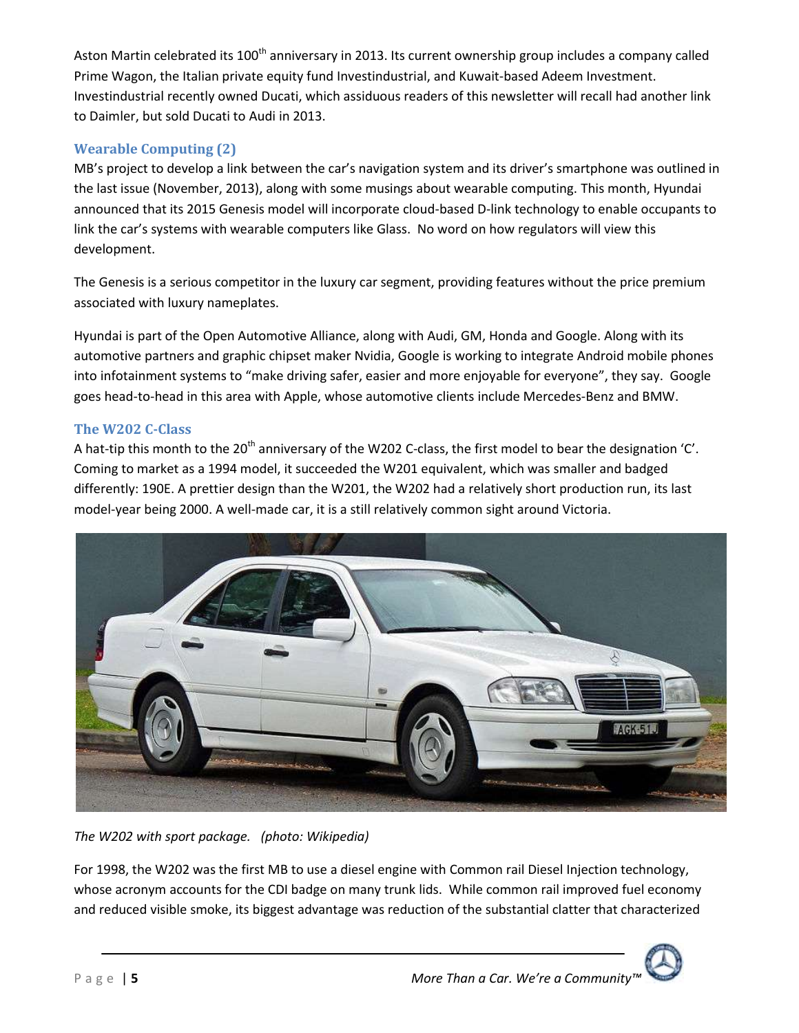Aston Martin celebrated its 100<sup>th</sup> anniversary in 2013. Its current ownership group includes a company called Prime Wagon, the Italian private equity fund Investindustrial, and Kuwait-based Adeem Investment. Investindustrial recently owned Ducati, which assiduous readers of this newsletter will recall had another link to Daimler, but sold Ducati to Audi in 2013.

## <span id="page-4-0"></span>**Wearable Computing (2)**

MB's project to develop a link between the car's navigation system and its driver's smartphone was outlined in the last issue (November, 2013), along with some musings about wearable computing. This month, Hyundai announced that its 2015 Genesis model will incorporate cloud-based D-link technology to enable occupants to link the car's systems with wearable computers like Glass. No word on how regulators will view this development.

The Genesis is a serious competitor in the luxury car segment, providing features without the price premium associated with luxury nameplates.

Hyundai is part of the Open Automotive Alliance, along with Audi, GM, Honda and Google. Along with its automotive partners and graphic chipset maker Nvidia, Google is working to integrate Android mobile phones into infotainment systems to "make driving safer, easier and more enjoyable for everyone", they say. Google goes head-to-head in this area with Apple, whose automotive clients include Mercedes-Benz and BMW.

## <span id="page-4-1"></span>**The W202 C-Class**

A hat-tip this month to the 20<sup>th</sup> anniversary of the W202 C-class, the first model to bear the designation 'C'. Coming to market as a 1994 model, it succeeded the W201 equivalent, which was smaller and badged differently: 190E. A prettier design than the W201, the W202 had a relatively short production run, its last model-year being 2000. A well-made car, it is a still relatively common sight around Victoria.



*The W202 with sport package. (photo: Wikipedia)*

For 1998, the W202 was the first MB to use a diesel engine with Common rail Diesel Injection technology, whose acronym accounts for the CDI badge on many trunk lids. While common rail improved fuel economy and reduced visible smoke, its biggest advantage was reduction of the substantial clatter that characterized